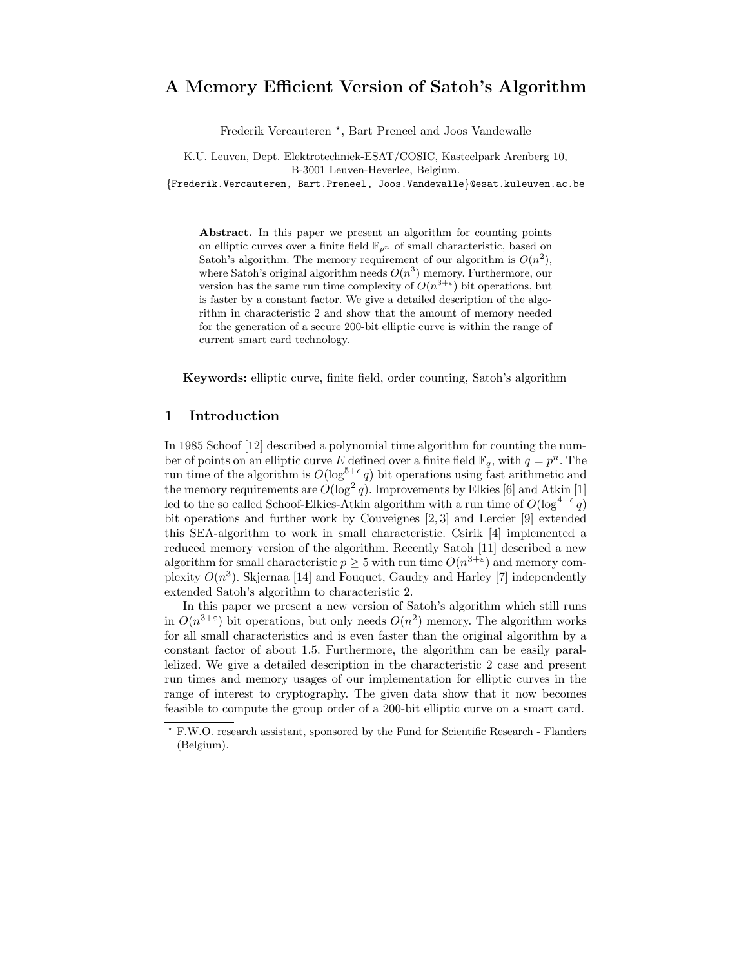# A Memory Efficient Version of Satoh's Algorithm

Frederik Vercauteren<sup>\*</sup>, Bart Preneel and Joos Vandewalle

K.U. Leuven, Dept. Elektrotechniek-ESAT/COSIC, Kasteelpark Arenberg 10, B-3001 Leuven-Heverlee, Belgium.

{Frederik.Vercauteren, Bart.Preneel, Joos.Vandewalle}@esat.kuleuven.ac.be

Abstract. In this paper we present an algorithm for counting points on elliptic curves over a finite field  $\mathbb{F}_{p^n}$  of small characteristic, based on Satoh's algorithm. The memory requirement of our algorithm is  $O(n^2)$ , where Satoh's original algorithm needs  $O(n^3)$  memory. Furthermore, our version has the same run time complexity of  $O(n^{3+\epsilon})$  bit operations, but is faster by a constant factor. We give a detailed description of the algorithm in characteristic 2 and show that the amount of memory needed for the generation of a secure 200-bit elliptic curve is within the range of current smart card technology.

Keywords: elliptic curve, finite field, order counting, Satoh's algorithm

## 1 Introduction

In 1985 Schoof [12] described a polynomial time algorithm for counting the number of points on an elliptic curve E defined over a finite field  $\mathbb{F}_q$ , with  $q = p^n$ . The run time of the algorithm is  $O(\log^{5+\epsilon} q)$  bit operations using fast arithmetic and the memory requirements are  $O(\log^2 q)$ . Improvements by Elkies [6] and Atkin [1] led to the so called Schoof-Elkies-Atkin algorithm with a run time of  $O(\log^{4+\epsilon} q)$ bit operations and further work by Couveignes [2, 3] and Lercier [9] extended this SEA-algorithm to work in small characteristic. Csirik [4] implemented a reduced memory version of the algorithm. Recently Satoh [11] described a new algorithm for small characteristic  $p \geq 5$  with run time  $O(n^{3+\epsilon})$  and memory complexity  $O(n^3)$ . Skjernaa [14] and Fouquet, Gaudry and Harley [7] independently extended Satoh's algorithm to characteristic 2.

In this paper we present a new version of Satoh's algorithm which still runs in  $O(n^{3+\epsilon})$  bit operations, but only needs  $O(n^2)$  memory. The algorithm works for all small characteristics and is even faster than the original algorithm by a constant factor of about 1.5. Furthermore, the algorithm can be easily parallelized. We give a detailed description in the characteristic 2 case and present run times and memory usages of our implementation for elliptic curves in the range of interest to cryptography. The given data show that it now becomes feasible to compute the group order of a 200-bit elliptic curve on a smart card.

<sup>?</sup> F.W.O. research assistant, sponsored by the Fund for Scientific Research - Flanders (Belgium).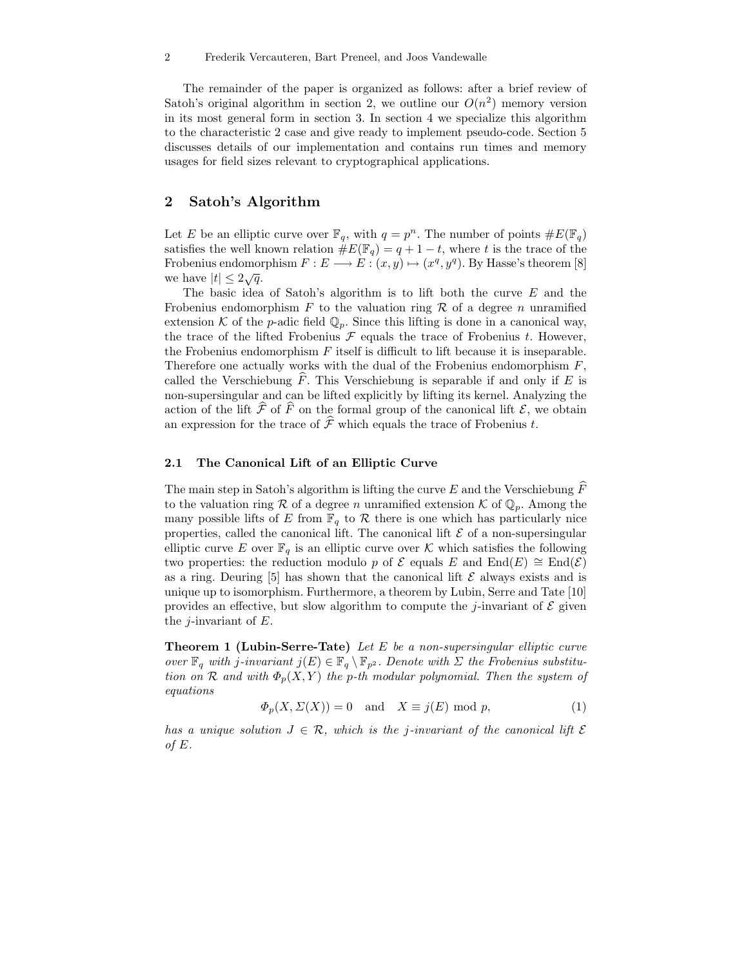The remainder of the paper is organized as follows: after a brief review of Satoh's original algorithm in section 2, we outline our  $O(n^2)$  memory version in its most general form in section 3. In section 4 we specialize this algorithm to the characteristic 2 case and give ready to implement pseudo-code. Section 5 discusses details of our implementation and contains run times and memory usages for field sizes relevant to cryptographical applications.

## 2 Satoh's Algorithm

Let E be an elliptic curve over  $\mathbb{F}_q$ , with  $q = p^n$ . The number of points  $\#E(\mathbb{F}_q)$ satisfies the well known relation  $\#E(\mathbb{F}_q) = q + 1 - t$ , where t is the trace of the Frobenius endomorphism  $F: E \longrightarrow E: (x, y) \mapsto (x^q, y^q)$ . By Hasse's theorem [8] we have  $|t| \leq 2\sqrt{q}$ .

The basic idea of Satoh's algorithm is to lift both the curve  $E$  and the Frobenius endomorphism  $F$  to the valuation ring  $\mathcal R$  of a degree n unramified extension K of the p-adic field  $\mathbb{Q}_p$ . Since this lifting is done in a canonical way, the trace of the lifted Frobenius  $\mathcal F$  equals the trace of Frobenius t. However, the Frobenius endomorphism  $F$  itself is difficult to lift because it is inseparable. Therefore one actually works with the dual of the Frobenius endomorphism  $F$ , called the Verschiebung  $F$ . This Verschiebung is separable if and only if  $E$  is non-supersingular and can be lifted explicitly by lifting its kernel. Analyzing the action of the lift  $\hat{\mathcal{F}}$  of  $\hat{F}$  on the formal group of the canonical lift  $\mathcal{E}$ , we obtain an expression for the trace of  $\hat{\mathcal{F}}$  which equals the trace of Frobenius t.

#### 2.1 The Canonical Lift of an Elliptic Curve

The main step in Satoh's algorithm is lifting the curve  $E$  and the Verschiebung  $F$ to the valuation ring R of a degree n unramified extension  $K$  of  $\mathbb{Q}_p$ . Among the many possible lifts of E from  $\mathbb{F}_q$  to R there is one which has particularly nice properties, called the canonical lift. The canonical lift  $\mathcal E$  of a non-supersingular elliptic curve E over  $\mathbb{F}_q$  is an elliptic curve over K which satisfies the following two properties: the reduction modulo p of  $\mathcal E$  equals E and End(E)  $\cong$  End(E) as a ring. Deuring  $[5]$  has shown that the canonical lift  $\mathcal E$  always exists and is unique up to isomorphism. Furthermore, a theorem by Lubin, Serre and Tate [10] provides an effective, but slow algorithm to compute the *j*-invariant of  $\mathcal E$  given the *j*-invariant of  $E$ .

**Theorem 1 (Lubin-Serre-Tate)** Let E be a non-supersingular elliptic curve over  $\mathbb{F}_q$  with j-invariant  $j(E) \in \mathbb{F}_q \setminus \mathbb{F}_{p^2}$ . Denote with  $\Sigma$  the Frobenius substitution on R and with  $\Phi_p(X, Y)$  the p-th modular polynomial. Then the system of equations

$$
\Phi_p(X, \Sigma(X)) = 0 \quad \text{and} \quad X \equiv j(E) \bmod p,\tag{1}
$$

has a unique solution  $J \in \mathcal{R}$ , which is the j-invariant of the canonical lift  $\mathcal E$ of  $E$ .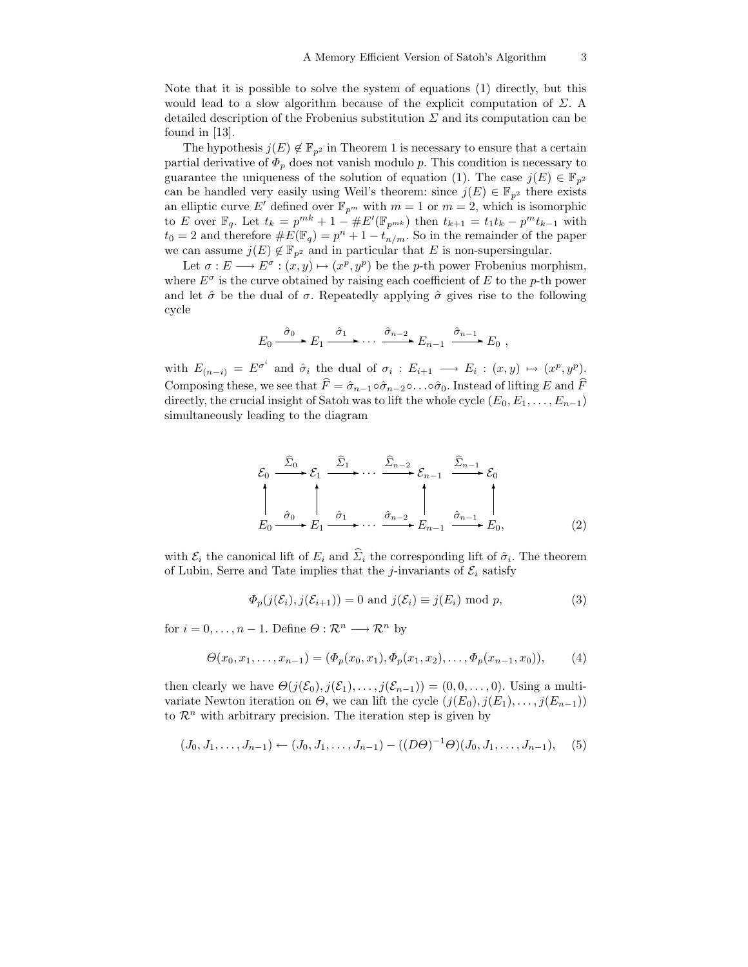Note that it is possible to solve the system of equations (1) directly, but this would lead to a slow algorithm because of the explicit computation of  $\Sigma$ . detailed description of the Frobenius substitution  $\Sigma$  and its computation can be found in [13].

The hypothesis  $j(E) \notin \mathbb{F}_{p^2}$  in Theorem 1 is necessary to ensure that a certain partial derivative of  $\Phi_p$  does not vanish modulo p. This condition is necessary to guarantee the uniqueness of the solution of equation (1). The case  $j(E) \in \mathbb{F}_{p^2}$ can be handled very easily using Weil's theorem: since  $j(E) \in \mathbb{F}_{n^2}$  there exists an elliptic curve E' defined over  $\mathbb{F}_{p^m}$  with  $m = 1$  or  $m = 2$ , which is isomorphic to E over  $\mathbb{F}_q$ . Let  $t_k = p^{mk} + 1 - \#E'(\mathbb{F}_{p^{mk}})$  then  $t_{k+1} = t_1 t_k - p^{mt} t_{k-1}$  with  $t_0 = 2$  and therefore  $\#E(\mathbb{F}_q) = p^n + 1 - t_{n/m}$ . So in the remainder of the paper we can assume  $j(E) \notin \mathbb{F}_{p^2}$  and in particular that E is non-supersingular.

Let  $\sigma: E \longrightarrow E^{\sigma}: (x, y) \mapsto (x^p, y^p)$  be the *p*-th power Frobenius morphism, where  $E^{\sigma}$  is the curve obtained by raising each coefficient of E to the p-th power and let  $\hat{\sigma}$  be the dual of  $\sigma$ . Repeatedly applying  $\hat{\sigma}$  gives rise to the following cycle

$$
E_0 \xrightarrow{\hat{\sigma}_0} E_1 \xrightarrow{\hat{\sigma}_1} \cdots \xrightarrow{\hat{\sigma}_{n-2}} E_{n-1} \xrightarrow{\hat{\sigma}_{n-1}} E_0 ,
$$

with  $E_{(n-i)} = E^{\sigma^i}$  and  $\hat{\sigma}_i$  the dual of  $\sigma_i : E_{i+1} \longrightarrow E_i : (x, y) \mapsto (x^p, y^p)$ . Composing these, we see that  $\hat{F} = \hat{\sigma}_{n-1} \circ \hat{\sigma}_{n-2} \circ \dots \circ \hat{\sigma}_0$ . Instead of lifting E and  $\hat{F}$ directly, the crucial insight of Satoh was to lift the whole cycle  $(E_0, E_1, \ldots, E_{n-1})$ simultaneously leading to the diagram

$$
\mathcal{E}_0 \xrightarrow{\widehat{\Sigma}_0} \mathcal{E}_1 \xrightarrow{\widehat{\Sigma}_1} \cdots \xrightarrow{\widehat{\Sigma}_{n-2}} \mathcal{E}_{n-1} \xrightarrow{\widehat{\Sigma}_{n-1}} \mathcal{E}_0
$$
\n
$$
\downarrow \qquad \qquad \downarrow \qquad \qquad \downarrow \qquad \downarrow
$$
\n
$$
E_0 \xrightarrow{\widehat{\sigma}_0} E_1 \xrightarrow{\widehat{\sigma}_1} \cdots \xrightarrow{\widehat{\sigma}_{n-2}} E_{n-1} \xrightarrow{\widehat{\sigma}_{n-1}} E_0,
$$
\n
$$
(2)
$$

with  $\mathcal{E}_i$  the canonical lift of  $E_i$  and  $\Sigma_i$  the corresponding lift of  $\hat{\sigma}_i$ . The theorem of Lubin, Serre and Tate implies that the j-invariants of  $\mathcal{E}_i$  satisfy

$$
\Phi_p(j(\mathcal{E}_i), j(\mathcal{E}_{i+1})) = 0 \text{ and } j(\mathcal{E}_i) \equiv j(E_i) \text{ mod } p,
$$
\n(3)

for  $i = 0, \ldots, n - 1$ . Define  $\Theta : \mathcal{R}^n \longrightarrow \mathcal{R}^n$  by

$$
\Theta(x_0, x_1, \dots, x_{n-1}) = (\Phi_p(x_0, x_1), \Phi_p(x_1, x_2), \dots, \Phi_p(x_{n-1}, x_0)), \quad (4)
$$

then clearly we have  $\Theta(j(\mathcal{E}_0), j(\mathcal{E}_1), \ldots, j(\mathcal{E}_{n-1})) = (0, 0, \ldots, 0)$ . Using a multivariate Newton iteration on  $\Theta$ , we can lift the cycle  $(j(E_0), j(E_1), \ldots, j(E_{n-1}))$ to  $\mathcal{R}^n$  with arbitrary precision. The iteration step is given by

$$
(J_0, J_1, \ldots, J_{n-1}) \leftarrow (J_0, J_1, \ldots, J_{n-1}) - ((D\Theta)^{-1}\Theta)(J_0, J_1, \ldots, J_{n-1}), \quad (5)
$$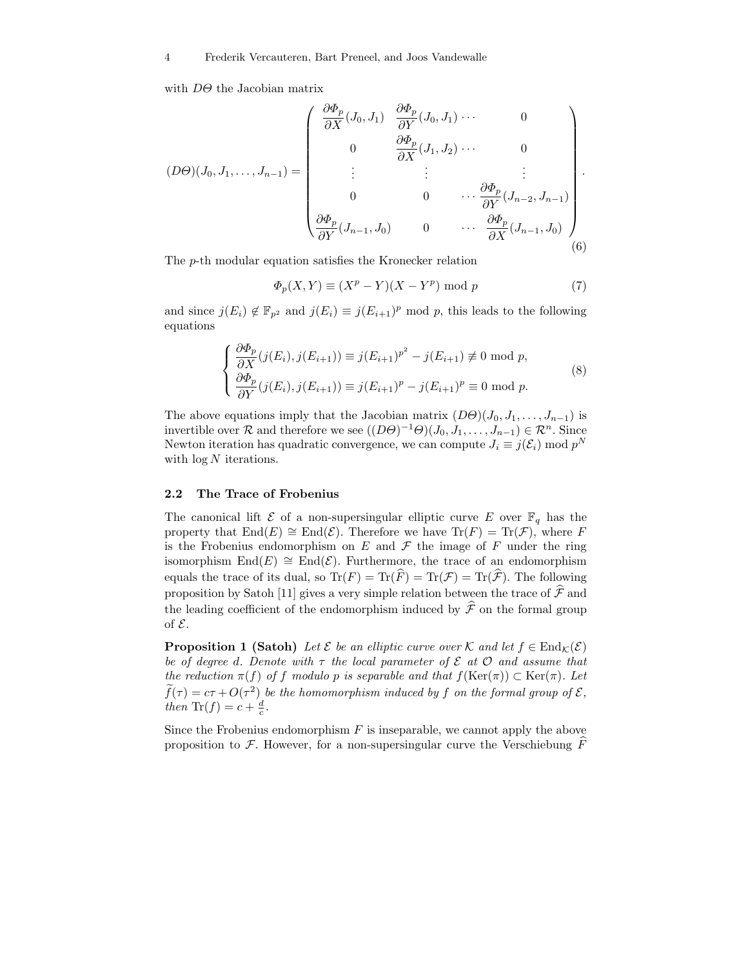with  $D\Theta$  the Jacobian matrix

$$
(D\Theta)(J_0, J_1, \dots, J_{n-1}) = \begin{pmatrix} \frac{\partial \Phi_p}{\partial X}(J_0, J_1) & \frac{\partial \Phi_p}{\partial Y}(J_0, J_1) & \cdots & 0 \\ 0 & \frac{\partial \Phi_p}{\partial X}(J_1, J_2) & \cdots & 0 \\ \vdots & \vdots & \vdots & \vdots \\ 0 & 0 & \cdots & \frac{\partial \Phi_p}{\partial Y}(J_{n-2}, J_{n-1}) \\ \frac{\partial \Phi_p}{\partial Y}(J_{n-1}, J_0) & 0 & \cdots & \frac{\partial \Phi_p}{\partial X}(J_{n-1}, J_0) \end{pmatrix} .
$$
 (6)

The p-th modular equation satisfies the Kronecker relation

$$
\Phi_p(X, Y) \equiv (X^p - Y)(X - Y^p) \text{ mod } p \tag{7}
$$

and since  $j(E_i) \notin \mathbb{F}_{p^2}$  and  $j(E_i) \equiv j(E_{i+1})^p \mod p$ , this leads to the following equations

$$
\begin{cases}\n\frac{\partial \Phi_p}{\partial X}(j(E_i), j(E_{i+1})) \equiv j(E_{i+1})^{p^2} - j(E_{i+1}) \not\equiv 0 \text{ mod } p, \\
\frac{\partial \Phi_p}{\partial Y}(j(E_i), j(E_{i+1})) \equiv j(E_{i+1})^p - j(E_{i+1})^p \equiv 0 \text{ mod } p.\n\end{cases}
$$
\n(8)

The above equations imply that the Jacobian matrix  $(D\Theta)(J_0, J_1, \ldots, J_{n-1})$  is invertible over  $\mathcal R$  and therefore we see  $((D\Theta)^{-1}\Theta)(J_0, J_1, \ldots, J_{n-1}) \in \mathcal R^n$ . Since Newton iteration has quadratic convergence, we can compute  $J_i \equiv j(\mathcal{E}_i) \mod p^N$ with  $\log N$  iterations.

#### 2.2 The Trace of Frobenius

The canonical lift  $\mathcal E$  of a non-supersingular elliptic curve E over  $\mathbb F_q$  has the property that  $\text{End}(E) \cong \text{End}(\mathcal{E})$ . Therefore we have  $\text{Tr}(F) = \text{Tr}(\mathcal{F})$ , where F is the Frobenius endomorphism on  $E$  and  $\mathcal F$  the image of  $F$  under the ring isomorphism End(E)  $\cong$  End(E). Furthermore, the trace of an endomorphism equals the trace of its dual, so  $Tr(F) = Tr(\widehat{F}) = Tr(\widehat{\mathcal{F}})$ . The following proposition by Satoh [11] gives a very simple relation between the trace of  $\hat{\mathcal{F}}$  and the leading coefficient of the endomorphism induced by  $\hat{\mathcal{F}}$  on the formal group of E.

**Proposition 1 (Satoh)** Let  $\mathcal{E}$  be an elliptic curve over K and let  $f \in \text{End}_{\mathcal{K}}(\mathcal{E})$ be of degree d. Denote with  $\tau$  the local parameter of  $\mathcal E$  at  $\mathcal O$  and assume that the reduction  $\pi(f)$  of f modulo p is separable and that  $f(\text{Ker}(\pi)) \subset \text{Ker}(\pi)$ . Let  $f(\tau) = c\tau + O(\tau^2)$  be the homomorphism induced by f on the formal group of  $\mathcal{E},$ then  $\text{Tr}(f) = c + \frac{d}{c}$ .

Since the Frobenius endomorphism  $F$  is inseparable, we cannot apply the above proposition to  $\mathcal F$ . However, for a non-supersingular curve the Verschiebung  $\overline F$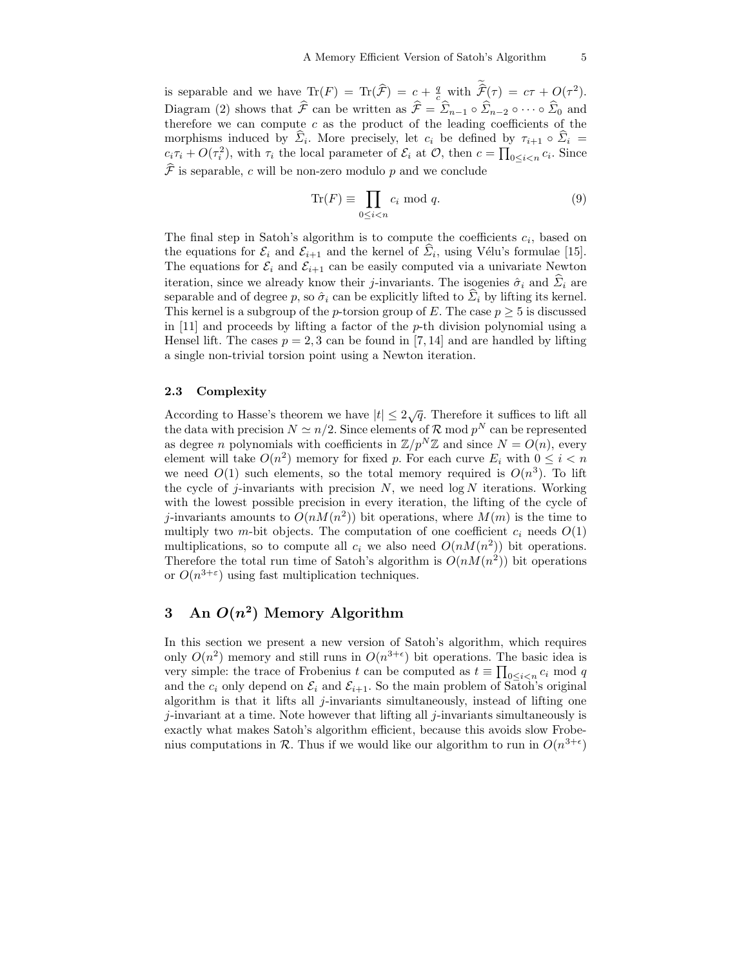is separable and we have  $\text{Tr}(F) = \text{Tr}(\hat{F}) = c + \frac{q}{c} \text{ with } \hat{F}(\tau) = c\tau + O(\tau^2).$ Diagram (2) shows that  $\hat{\mathcal{F}}$  can be written as  $\hat{\mathcal{F}} = \hat{\Sigma}_{n-1} \circ \hat{\Sigma}_{n-2} \circ \cdots \circ \hat{\Sigma}_{0}$  and therefore we can compute  $c$  as the product of the leading coefficients of the morphisms induced by  $\Sigma_i$ . More precisely, let  $c_i$  be defined by  $\tau_{i+1} \circ \Sigma_i =$  $c_i \tau_i + O(\tau_i^2)$ , with  $\tau_i$  the local parameter of  $\mathcal{E}_i$  at  $\mathcal{O}$ , then  $c = \prod_{0 \leq i < n} c_i$ . Since  $\widehat{\mathcal{F}}$  is separable, c will be non-zero modulo p and we conclude

$$
\text{Tr}(F) \equiv \prod_{0 \le i < n} c_i \text{ mod } q. \tag{9}
$$

The final step in Satoh's algorithm is to compute the coefficients  $c_i$ , based on the equations for  $\mathcal{E}_i$  and  $\mathcal{E}_{i+1}$  and the kernel of  $\mathcal{E}_i$ , using Vélu's formulae [15]. The equations for  $\mathcal{E}_i$  and  $\mathcal{E}_{i+1}$  can be easily computed via a univariate Newton iteration, since we already know their j-invariants. The isogenies  $\hat{\sigma}_i$  and  $\hat{\Sigma}_i$  are separable and of degree p, so  $\hat{\sigma}_i$  can be explicitly lifted to  $\hat{\Sigma}_i$  by lifting its kernel. This kernel is a subgroup of the *p*-torsion group of E. The case  $p \geq 5$  is discussed in [11] and proceeds by lifting a factor of the p-th division polynomial using a Hensel lift. The cases  $p = 2, 3$  can be found in [7, 14] and are handled by lifting a single non-trivial torsion point using a Newton iteration.

### 2.3 Complexity

According to Hasse's theorem we have  $|t| \leq 2\sqrt{q}$ . Therefore it suffices to lift all the data with precision  $N \simeq n/2$ . Since elements of R mod  $p^N$  can be represented as degree *n* polynomials with coefficients in  $\mathbb{Z}/p^N\mathbb{Z}$  and since  $N = O(n)$ , every element will take  $O(n^2)$  memory for fixed p. For each curve  $E_i$  with  $0 \leq i \leq n$ we need  $O(1)$  such elements, so the total memory required is  $O(n^3)$ . To lift the cycle of j-invariants with precision  $N$ , we need  $\log N$  iterations. Working with the lowest possible precision in every iteration, the lifting of the cycle of j-invariants amounts to  $O(nM(n^2))$  bit operations, where  $M(m)$  is the time to multiply two m-bit objects. The computation of one coefficient  $c_i$  needs  $O(1)$ multiplications, so to compute all  $c_i$  we also need  $O(nM(n^2))$  bit operations. Therefore the total run time of Satoh's algorithm is  $O(nM(n^2))$  bit operations or  $O(n^{3+\epsilon})$  using fast multiplication techniques.

# 3 An  $O(n^2)$  Memory Algorithm

In this section we present a new version of Satoh's algorithm, which requires only  $O(n^2)$  memory and still runs in  $O(n^{3+\epsilon})$  bit operations. The basic idea is very simple: the trace of Frobenius t can be computed as  $t \equiv \prod_{0 \leq i \leq n} c_i \mod q$ and the  $c_i$  only depend on  $\mathcal{E}_i$  and  $\mathcal{E}_{i+1}$ . So the main problem of Satoh's original algorithm is that it lifts all  $j$ -invariants simultaneously, instead of lifting one  $j$ -invariant at a time. Note however that lifting all  $j$ -invariants simultaneously is exactly what makes Satoh's algorithm efficient, because this avoids slow Frobenius computations in  $\mathcal{R}$ . Thus if we would like our algorithm to run in  $O(n^{3+\epsilon})$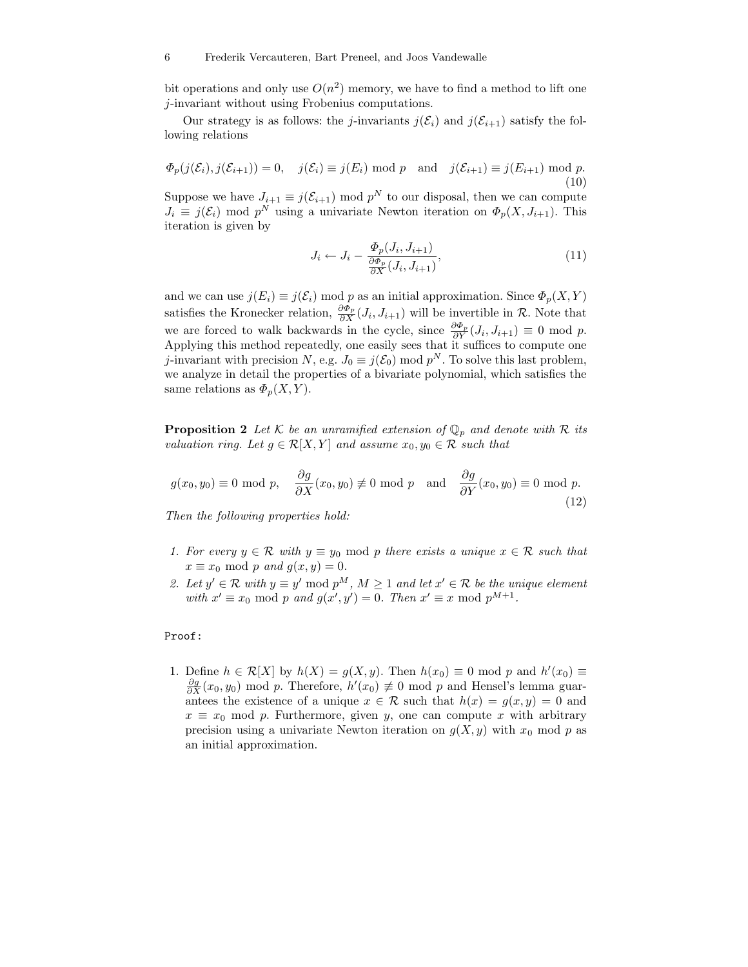#### 6 Frederik Vercauteren, Bart Preneel, and Joos Vandewalle

bit operations and only use  $O(n^2)$  memory, we have to find a method to lift one j-invariant without using Frobenius computations.

Our strategy is as follows: the *j*-invariants  $j(\mathcal{E}_i)$  and  $j(\mathcal{E}_{i+1})$  satisfy the following relations

$$
\Phi_p(j(\mathcal{E}_i), j(\mathcal{E}_{i+1})) = 0, \quad j(\mathcal{E}_i) \equiv j(E_i) \text{ mod } p \quad \text{and} \quad j(\mathcal{E}_{i+1}) \equiv j(E_{i+1}) \text{ mod } p. \tag{10}
$$

Suppose we have  $J_{i+1} \equiv j(\mathcal{E}_{i+1}) \mod p^N$  to our disposal, then we can compute  $J_i \equiv j(\mathcal{E}_i) \mod p^N$  using a univariate Newton iteration on  $\Phi_p(X, J_{i+1})$ . This iteration is given by

$$
J_i \leftarrow J_i - \frac{\Phi_p(J_i, J_{i+1})}{\frac{\partial \Phi_p}{\partial X}(J_i, J_{i+1})},\tag{11}
$$

and we can use  $j(E_i) \equiv j(\mathcal{E}_i) \mod p$  as an initial approximation. Since  $\Phi_p(X, Y)$ satisfies the Kronecker relation,  $\frac{\partial \Phi_p}{\partial X}(J_i, J_{i+1})$  will be invertible in  $\mathcal R$ . Note that we are forced to walk backwards in the cycle, since  $\frac{\partial \Phi_p}{\partial Y}(J_i, J_{i+1}) \equiv 0 \text{ mod } p$ . Applying this method repeatedly, one easily sees that it suffices to compute one j-invariant with precision N, e.g.  $J_0 \equiv j(\mathcal{E}_0) \mod p^N$ . To solve this last problem, we analyze in detail the properties of a bivariate polynomial, which satisfies the same relations as  $\Phi_p(X, Y)$ .

**Proposition 2** Let K be an unramified extension of  $\mathbb{Q}_p$  and denote with R its valuation ring. Let  $g \in \mathcal{R}[X, Y]$  and assume  $x_0, y_0 \in \mathcal{R}$  such that

$$
g(x_0, y_0) \equiv 0 \text{ mod } p, \quad \frac{\partial g}{\partial X}(x_0, y_0) \not\equiv 0 \text{ mod } p \quad \text{and} \quad \frac{\partial g}{\partial Y}(x_0, y_0) \equiv 0 \text{ mod } p.
$$
\n(12)

Then the following properties hold:

- 1. For every  $y \in \mathcal{R}$  with  $y \equiv y_0 \mod p$  there exists a unique  $x \in \mathcal{R}$  such that  $x \equiv x_0 \mod p$  and  $g(x, y) = 0$ .
- 2. Let  $y' \in \mathcal{R}$  with  $y \equiv y' \mod p^M$ ,  $M \ge 1$  and let  $x' \in \mathcal{R}$  be the unique element with  $x' \equiv x_0 \mod p$  and  $g(x', y') = 0$ . Then  $x' \equiv x \mod p^{M+1}$ .

#### Proof:

1. Define  $h \in \mathcal{R}[X]$  by  $h(X) = g(X, y)$ . Then  $h(x_0) \equiv 0 \mod p$  and  $h'(x_0) \equiv$  $\frac{\partial g}{\partial X}(x_0, y_0)$  mod p. Therefore,  $h'(x_0) \neq 0$  mod p and Hensel's lemma guarantees the existence of a unique  $x \in \mathcal{R}$  such that  $h(x) = g(x, y) = 0$  and  $x \equiv x_0 \mod p$ . Furthermore, given y, one can compute x with arbitrary precision using a univariate Newton iteration on  $g(X, y)$  with  $x_0$  mod p as an initial approximation.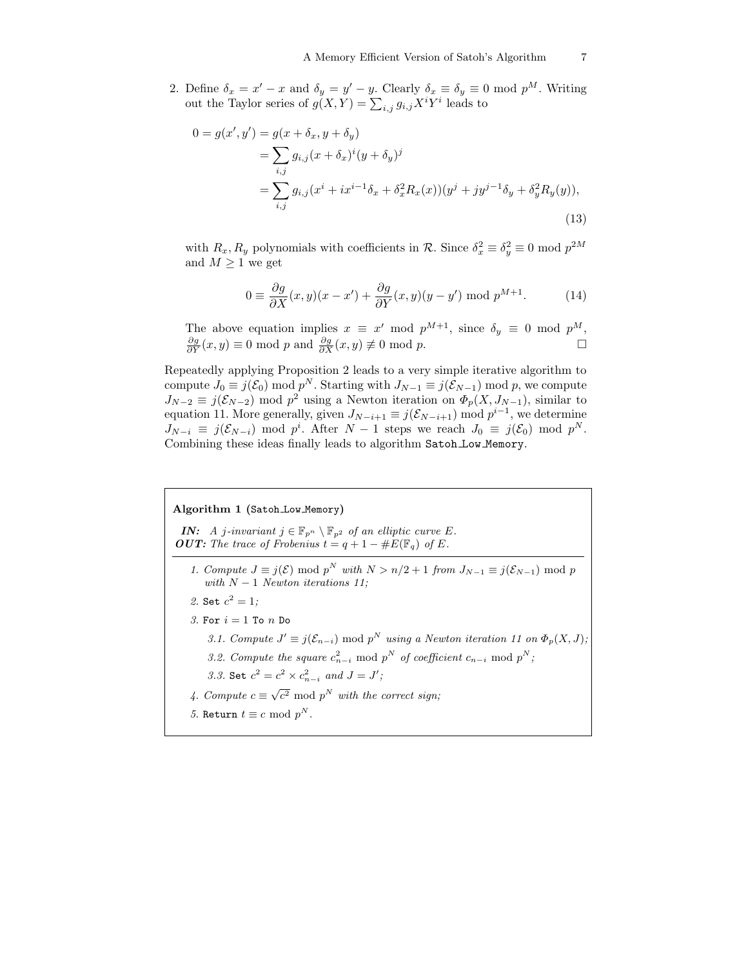2. Define  $\delta_x = x' - x$  and  $\delta_y = y' - y$ . Clearly  $\delta_x \equiv \delta_y \equiv 0 \mod p^M$ . Writing out the Taylor series of  $g(X,Y) = \sum_{i,j} g_{i,j} X^i Y^i$  leads to

$$
0 = g(x', y') = g(x + \delta_x, y + \delta_y)
$$
  
= 
$$
\sum_{i,j} g_{i,j}(x + \delta_x)^i (y + \delta_y)^j
$$
  
= 
$$
\sum_{i,j} g_{i,j}(x^i + ix^{i-1}\delta_x + \delta_x^2 R_x(x))(y^j + jy^{j-1}\delta_y + \delta_y^2 R_y(y)),
$$
  
(13)

with  $R_x, R_y$  polynomials with coefficients in  $\mathcal{R}$ . Since  $\delta_x^2 \equiv \delta_y^2 \equiv 0 \mod p^{2M}$ and  $M \geq 1$  we get

$$
0 \equiv \frac{\partial g}{\partial X}(x, y)(x - x') + \frac{\partial g}{\partial Y}(x, y)(y - y') \bmod p^{M+1}.
$$
 (14)

The above equation implies  $x \equiv x' \mod p^{M+1}$ , since  $\delta_y \equiv 0 \mod p^M$ ,  $\frac{\partial g}{\partial Y}(x, y) \equiv 0 \text{ mod } p \text{ and } \frac{\partial g}{\partial X}(x, y) \not\equiv 0 \text{ mod } p.$ 

Repeatedly applying Proposition 2 leads to a very simple iterative algorithm to compute  $J_0 \equiv j(\mathcal{E}_0) \mod p^N$ . Starting with  $J_{N-1} \equiv j(\mathcal{E}_{N-1}) \mod p$ , we compute  $J_{N-2} \equiv j(\mathcal{E}_{N-2}) \mod p^2$  using a Newton iteration on  $\Phi_p(X, J_{N-1})$ , similar to equation 11. More generally, given  $J_{N-i+1} \equiv j(\mathcal{E}_{N-i+1}) \mod p^{i-1}$ , we determine  $J_{N-i} \equiv j(\mathcal{E}_{N-i}) \mod p^i$ . After  $N-1$  steps we reach  $J_0 \equiv j(\mathcal{E}_0) \mod p^N$ . Combining these ideas finally leads to algorithm Satoh Low Memory.

## Algorithm 1 (Satoh Low Memory)

**IN:** A j-invariant  $j \in \mathbb{F}_{p^n} \setminus \mathbb{F}_{p^2}$  of an elliptic curve E. **OUT:** The trace of Frobenius  $t = q + 1 - \#E(\mathbb{F}_q)$  of E.

- 1. Compute  $J \equiv j(\mathcal{E}) \mod p^N$  with  $N > n/2 + 1$  from  $J_{N-1} \equiv j(\mathcal{E}_{N-1}) \mod p$ with  $N-1$  Newton iterations 11;
- 2. Set  $c^2 = 1$ ;
- 3. For  $i = 1$  To n Do
	- 3.1. Compute  $J' \equiv j(\mathcal{E}_{n-i}) \mod p^N$  using a Newton iteration 11 on  $\Phi_p(X, J)$ ; 3.2. Compute the square  $c_{n-i}^2 \mod p^N$  of coefficient  $c_{n-i} \mod p^N$ ;
	- 3.3. Set  $c^2 = c^2 \times c_{n-i}^2$  and  $J = J'$ ;
- 4. Compute  $c \equiv \sqrt{c^2} \mod p^N$  with the correct sign;
- 5. Return  $t \equiv c \mod p^N$ .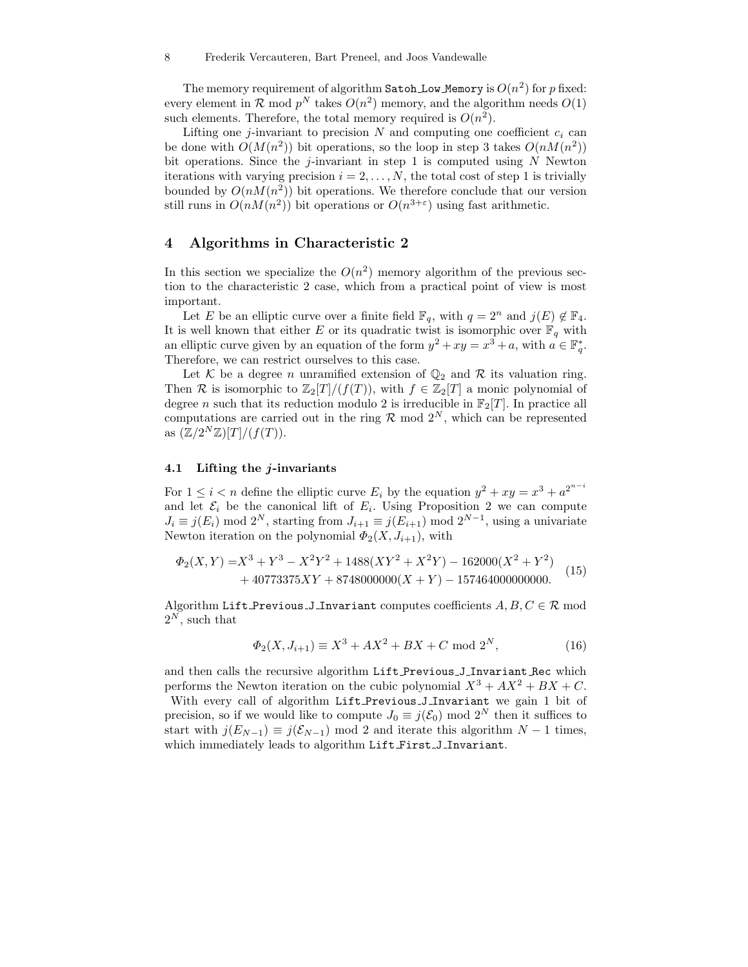The memory requirement of algorithm Satoh Low Memory is  $O(n^2)$  for  $p$  fixed: every element in  $\mathcal{R}$  mod  $p^N$  takes  $O(n^2)$  memory, and the algorithm needs  $O(1)$ such elements. Therefore, the total memory required is  $O(n^2)$ .

Lifting one j-invariant to precision  $N$  and computing one coefficient  $c_i$  can be done with  $O(M(n^2))$  bit operations, so the loop in step 3 takes  $O(nM(n^2))$ bit operations. Since the j-invariant in step 1 is computed using  $N$  Newton iterations with varying precision  $i = 2, \ldots, N$ , the total cost of step 1 is trivially bounded by  $O(nM(n^2))$  bit operations. We therefore conclude that our version still runs in  $O(nM(n^2))$  bit operations or  $O(n^{3+\epsilon})$  using fast arithmetic.

## 4 Algorithms in Characteristic 2

In this section we specialize the  $O(n^2)$  memory algorithm of the previous section to the characteristic 2 case, which from a practical point of view is most important.

Let E be an elliptic curve over a finite field  $\mathbb{F}_q$ , with  $q = 2^n$  and  $j(E) \notin \mathbb{F}_4$ . It is well known that either E or its quadratic twist is isomorphic over  $\mathbb{F}_q$  with an elliptic curve given by an equation of the form  $y^2 + xy = x^3 + a$ , with  $a \in \mathbb{F}_q^*$ . Therefore, we can restrict ourselves to this case.

Let K be a degree n unramified extension of  $\mathbb{Q}_2$  and R its valuation ring. Then R is isomorphic to  $\mathbb{Z}_2[T]/(f(T))$ , with  $f \in \mathbb{Z}_2[T]$  a monic polynomial of degree n such that its reduction modulo 2 is irreducible in  $\mathbb{F}_2[T]$ . In practice all computations are carried out in the ring  $\mathcal{R}$  mod  $2^N$ , which can be represented as  $(\mathbb{Z}/2^N\mathbb{Z})[T]/(f(T)).$ 

### 4.1 Lifting the j-invariants

For  $1 \leq i < n$  define the elliptic curve  $E_i$  by the equation  $y^2 + xy = x^3 + a^{2^{n-i}}$ and let  $\mathcal{E}_i$  be the canonical lift of  $E_i$ . Using Proposition 2 we can compute  $J_i \equiv j(E_i) \mod 2^N$ , starting from  $J_{i+1} \equiv j(E_{i+1}) \mod 2^{N-1}$ , using a univariate Newton iteration on the polynomial  $\Phi_2(X, J_{i+1}),$  with

$$
\Phi_2(X,Y) = X^3 + Y^3 - X^2Y^2 + 1488(XY^2 + X^2Y) - 162000(X^2 + Y^2) + 40773375XY + 8748000000(X + Y) - 157464000000000.
$$
 (15)

Algorithm Lift Previous J Invariant computes coefficients  $A, B, C \in \mathcal{R}$  mod  $2^N$ , such that

$$
\Phi_2(X, J_{i+1}) \equiv X^3 + AX^2 + BX + C \text{ mod } 2^N,
$$
\n(16)

and then calls the recursive algorithm Lift Previous J Invariant Rec which performs the Newton iteration on the cubic polynomial  $X^3 + AX^2 + BX + C$ .

With every call of algorithm Lift Previous J Invariant we gain 1 bit of precision, so if we would like to compute  $J_0 \equiv j(\mathcal{E}_0) \mod 2^N$  then it suffices to start with  $j(E_{N-1}) \equiv j(\mathcal{E}_{N-1}) \mod 2$  and iterate this algorithm  $N-1$  times, which immediately leads to algorithm Lift First J Invariant.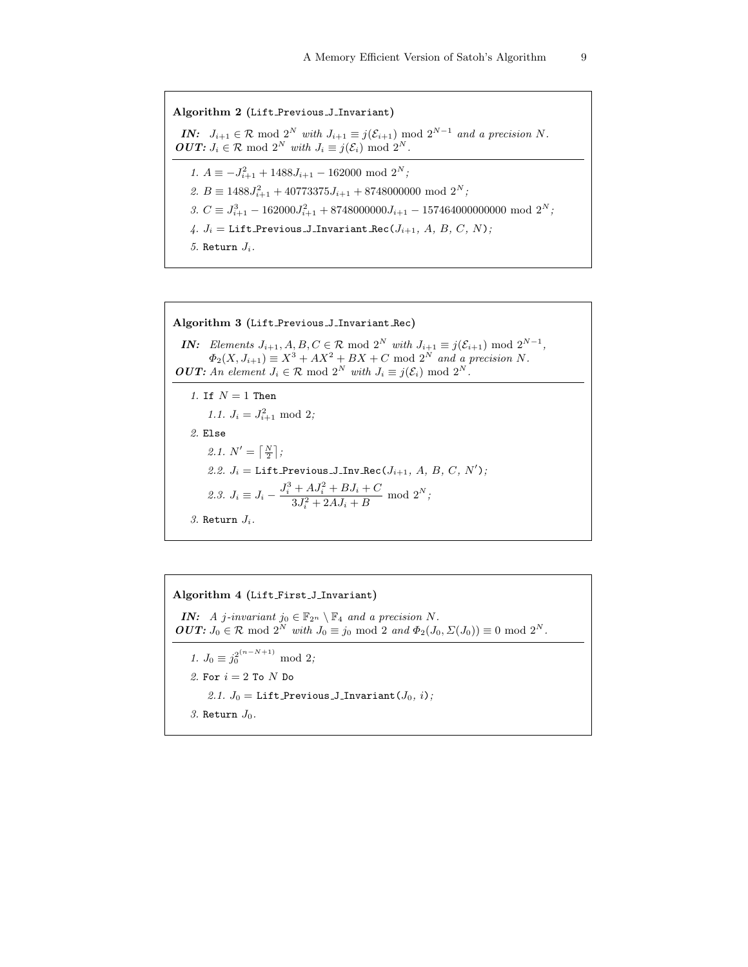Algorithm 2 (Lift Previous J Invariant) **IN:**  $J_{i+1} \in \mathcal{R} \mod 2^N$  with  $J_{i+1} \equiv j(\mathcal{E}_{i+1}) \mod 2^{N-1}$  and a precision N. **OUT:**  $J_i \in \mathcal{R} \mod 2^N$  with  $J_i \equiv j(\mathcal{E}_i) \mod 2^N$ . 1.  $A \equiv -J_{i+1}^2 + 1488J_{i+1} - 162000 \text{ mod } 2^N$ ; 2.  $B \equiv 1488J_{i+1}^2 + 40773375J_{i+1} + 8748000000 \mod 2^N;$ 3.  $C \equiv J_{i+1}^3 - 162000 J_{i+1}^2 + 8748000000 J_{i+1} - 157464000000000 \mod 2^N$ ; 4.  $J_i =$  Lift Previous J\_Invariant Rec( $J_{i+1}$ , A, B, C, N); 5. Return  $J_i$ .

Algorithm 3 (Lift Previous J Invariant Rec) **IN:** Elements  $J_{i+1}, A, B, C \in \mathcal{R} \text{ mod } 2^N$  with  $J_{i+1} \equiv j(\mathcal{E}_{i+1}) \text{ mod } 2^{N-1}$ ,  $\Phi_2(X, J_{i+1}) \equiv X^3 + AX^2 + BX + C \text{ mod } 2^N$  and a precision N. **OUT:** An element  $J_i \in \mathcal{R}$  mod  $2^N$  with  $J_i \equiv j(\mathcal{E}_i)$  mod  $2^N$ . 1. If  $N = 1$  Then 1.1.  $J_i = J_{i+1}^2 \mod 2;$ 2. Else 2.1.  $N' = \left\lceil \frac{N}{2} \right\rceil$ ; 2.2.  $J_i =$  Lift\_Previous\_J\_Inv\_Rec( $J_{i+1}$ , A, B, C, N'); 2.3.  $J_i \equiv J_i - \frac{J_i^3 + AJ_i^2 + BJ_i + C}{3J_i^2 + 2AL + B}$  $\frac{+ A J_i + B J_i + C}{3 J_i^2 + 2 A J_i + B} \mod 2^N;$ 3. Return  $J_i$ .

Algorithm 4 (Lift First J Invariant) IN: A j-invariant jo  $\in \mathbb{F}_{2^n} \setminus \mathbb{F}_4$  and a precision N. **OUT:**  $J_0 \in \mathcal{R}$  mod  $2^N$  with  $J_0 \equiv j_0 \mod 2$  and  $\Phi_2(J_0, \Sigma(J_0)) \equiv 0 \mod 2^N$ . 1.  $J_0 \equiv j_0^{2(n-N+1)} \mod 2;$ 2. For  $i = 2$  To N Do 2.1.  $J_0 =$  Lift Previous J Invariant  $(J_0, i)$ ; 3. Return  $J_0$ .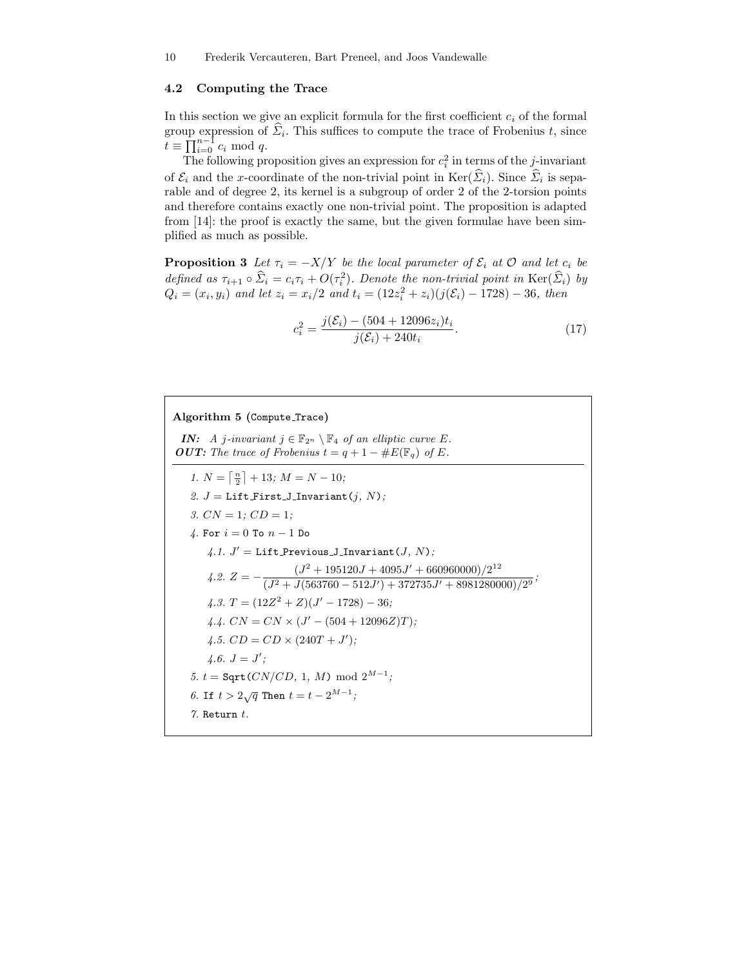#### 4.2 Computing the Trace

In this section we give an explicit formula for the first coefficient  $c_i$  of the formal group expression of  $\Sigma_i$ . This suffices to compute the trace of Frobenius t, since  $\check{t} \equiv \prod_{i=0}^{n-1} c_i \mod q.$ 

The following proposition gives an expression for  $c_i^2$  in terms of the *j*-invariant of  $\mathcal{E}_i$  and the x-coordinate of the non-trivial point in Ker( $\Sigma_i$ ). Since  $\Sigma_i$  is separable and of degree 2, its kernel is a subgroup of order 2 of the 2-torsion points and therefore contains exactly one non-trivial point. The proposition is adapted from [14]: the proof is exactly the same, but the given formulae have been simplified as much as possible.

**Proposition 3** Let  $\tau_i = -X/Y$  be the local parameter of  $\mathcal{E}_i$  at  $\mathcal{O}$  and let  $c_i$  be defined as  $\tau_{i+1} \circ \hat{\Sigma}_i = c_i \tau_i + O(\tau_i^2)$ . Denote the non-trivial point in  $\text{Ker}(\hat{\Sigma}_i)$  by  $Q_i = (x_i, y_i)$  and let  $z_i = x_i/2$  and  $t_i = (12z_i^2 + z_i)(j(\mathcal{E}_i) - 1728) - 36$ , then

$$
c_i^2 = \frac{j(\mathcal{E}_i) - (504 + 12096z_i)t_i}{j(\mathcal{E}_i) + 240t_i}.
$$
\n(17)

Algorithm 5 (Compute Trace) IN: A j-invariant  $j \in \mathbb{F}_{2^n} \setminus \mathbb{F}_4$  of an elliptic curve E. **OUT:** The trace of Frobenius  $t = q + 1 - \#E(\mathbb{F}_q)$  of E. 1.  $N = \lceil \frac{n}{2} \rceil + 13; M = N - 10;$ 2.  $J =$  Lift\_First\_J\_Invariant( $j$ , N); 3.  $CN = 1$ ;  $CD = 1$ ; 4. For  $i = 0$  To  $n - 1$  Do  $\mathcal{A}.1.$   $J'=\texttt{Lift}$  Previous J\_Invariant $(J,\,N);$  $4.2. Z = -\frac{(J^2 + 195120J + 4095J' + 660960000)/2^{12}}{(J^2 + J(563760 - 512J') + 372735J' + 89812800000)}$  $\frac{1}{(J^2+J(563760-512J')+372735J'+8981280000)/2^9};$ 4.3.  $T = (12Z^2 + Z)(J' - 1728) - 36;$ 4.4.  $CN = CN \times (J' - (504 + 12096Z)T);$ 4.5.  $CD = CD \times (240T + J')$ ;  $4.6. J = J';$ 5.  $t = \text{Sqrt}(CN/CD, 1, M) \mod 2^{M-1};$ 6. If  $t > 2\sqrt{q}$  Then  $t = t - 2^{M-1}$ ; 7. Return  $t$ .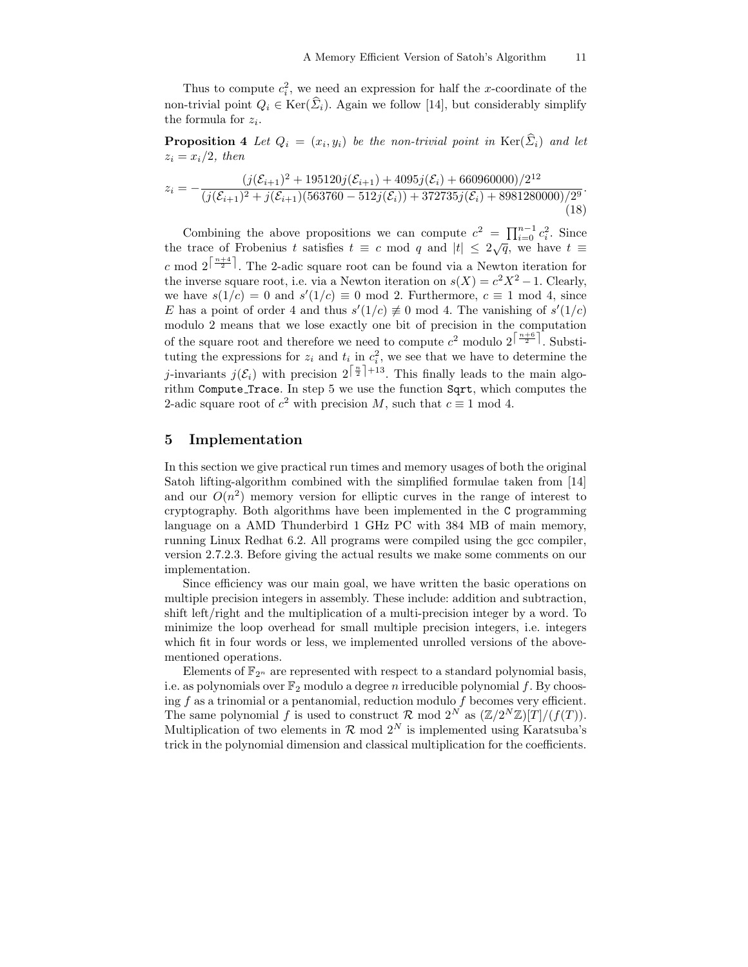Thus to compute  $c_i^2$ , we need an expression for half the x-coordinate of the non-trivial point  $Q_i \in \text{Ker}(\hat{\Sigma}_i)$ . Again we follow [14], but considerably simplify the formula for  $z_i$ .

**Proposition 4** Let  $Q_i = (x_i, y_i)$  be the non-trivial point in  $\text{Ker}(\Sigma_i)$  and let  $z_i = x_i/2$ , then

$$
z_i = -\frac{(j(\mathcal{E}_{i+1})^2 + 195120j(\mathcal{E}_{i+1}) + 4095j(\mathcal{E}_i) + 660960000)/2^{12}}{(j(\mathcal{E}_{i+1})^2 + j(\mathcal{E}_{i+1})(563760 - 512j(\mathcal{E}_i)) + 372735j(\mathcal{E}_i) + 8981280000)/2^9}.
$$
\n(18)

Combining the above propositions we can compute  $c^2 = \prod_{i=0}^{n-1} c_i^2$ . Since the trace of Frobenius t satisfies  $t \equiv c \mod q$  and  $|t| \leq 2\sqrt{q}$ , we have  $t \equiv$ c mod  $2^{\lceil \frac{n+4}{2} \rceil}$ . The 2-adic square root can be found via a Newton iteration for the inverse square root, i.e. via a Newton iteration on  $s(X) = c^2 X^2 - 1$ . Clearly, we have  $s(1/c) = 0$  and  $s'(1/c) \equiv 0 \mod 2$ . Furthermore,  $c \equiv 1 \mod 4$ , since E has a point of order 4 and thus  $s'(1/c) \neq 0 \mod 4$ . The vanishing of  $s'(1/c)$ modulo 2 means that we lose exactly one bit of precision in the computation of the square root and therefore we need to compute  $c^2$  modulo  $2^{\left\lceil \frac{n+6}{2} \right\rceil}$ . Substituting the expressions for  $z_i$  and  $t_i$  in  $c_i^2$ , we see that we have to determine the j-invariants  $j(\mathcal{E}_i)$  with precision  $2^{\lceil \frac{n}{2} \rceil + 13}$ . This finally leads to the main algorithm Compute Trace. In step 5 we use the function Sqrt, which computes the 2-adic square root of  $c^2$  with precision M, such that  $c \equiv 1 \mod 4$ .

## 5 Implementation

In this section we give practical run times and memory usages of both the original Satoh lifting-algorithm combined with the simplified formulae taken from [14] and our  $O(n^2)$  memory version for elliptic curves in the range of interest to cryptography. Both algorithms have been implemented in the C programming language on a AMD Thunderbird 1 GHz PC with 384 MB of main memory, running Linux Redhat 6.2. All programs were compiled using the gcc compiler, version 2.7.2.3. Before giving the actual results we make some comments on our implementation.

Since efficiency was our main goal, we have written the basic operations on multiple precision integers in assembly. These include: addition and subtraction, shift left/right and the multiplication of a multi-precision integer by a word. To minimize the loop overhead for small multiple precision integers, i.e. integers which fit in four words or less, we implemented unrolled versions of the abovementioned operations.

Elements of  $\mathbb{F}_{2^n}$  are represented with respect to a standard polynomial basis, i.e. as polynomials over  $\mathbb{F}_2$  modulo a degree n irreducible polynomial f. By choosing  $f$  as a trinomial or a pentanomial, reduction modulo  $f$  becomes very efficient. The same polynomial f is used to construct  $\mathcal R$  mod  $2^N$  as  $(\mathbb Z/2^N\mathbb Z)[T]/(f(T)).$ Multiplication of two elements in  $\mathcal{R}$  mod  $2^N$  is implemented using Karatsuba's trick in the polynomial dimension and classical multiplication for the coefficients.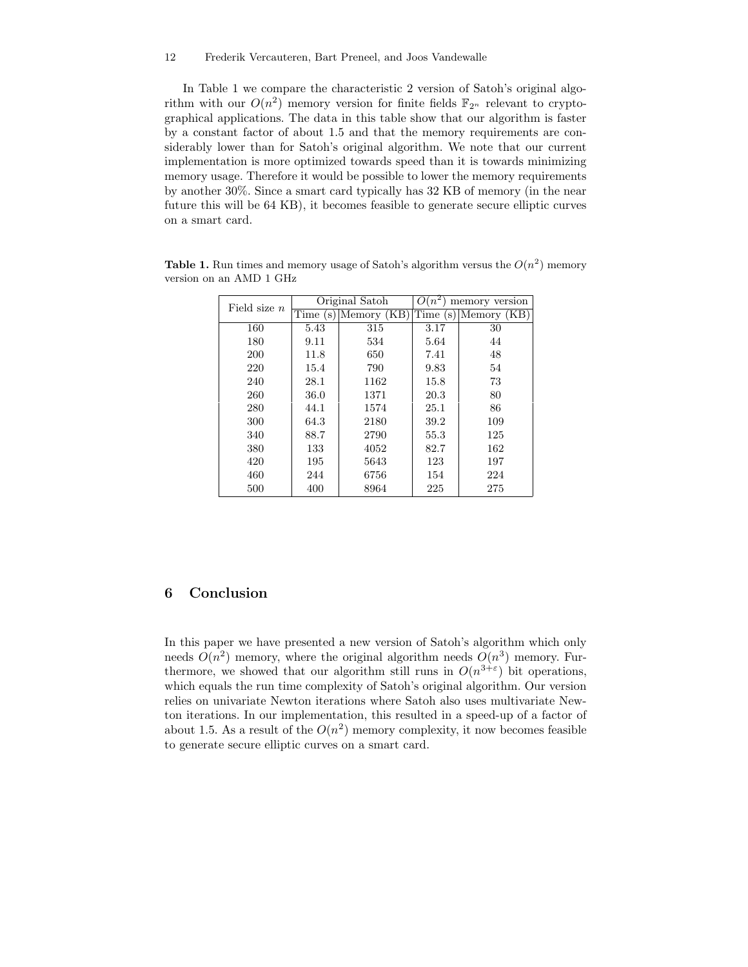#### 12 Frederik Vercauteren, Bart Preneel, and Joos Vandewalle

In Table 1 we compare the characteristic 2 version of Satoh's original algorithm with our  $O(n^2)$  memory version for finite fields  $\mathbb{F}_{2^n}$  relevant to cryptographical applications. The data in this table show that our algorithm is faster by a constant factor of about 1.5 and that the memory requirements are considerably lower than for Satoh's original algorithm. We note that our current implementation is more optimized towards speed than it is towards minimizing memory usage. Therefore it would be possible to lower the memory requirements by another 30%. Since a smart card typically has 32 KB of memory (in the near future this will be 64 KB), it becomes feasible to generate secure elliptic curves on a smart card.

| Field size $n$ | Original Satoh |             | memory version<br>( )<br>$\overline{n}$ |             |
|----------------|----------------|-------------|-----------------------------------------|-------------|
|                | Time<br>(s)    | Memory (KB) | Time<br>`S                              | Memory (KB) |
| 160            | 5.43           | 315         | 3.17                                    | 30          |
| 180            | 9.11           | 534         | 5.64                                    | 44          |
| 200            | 11.8           | 650         | 7.41                                    | 48          |
| 220            | 15.4           | 790         | 9.83                                    | 54          |
| 240            | 28.1           | 1162        | 15.8                                    | 73          |
| 260            | 36.0           | 1371        | 20.3                                    | 80          |
| 280            | 44.1           | 1574        | 25.1                                    | 86          |
| 300            | 64.3           | 2180        | 39.2                                    | 109         |
| 340            | 88.7           | 2790        | 55.3                                    | 125         |
| 380            | 133            | 4052        | 82.7                                    | 162         |
| 420            | 195            | 5643        | 123                                     | 197         |
| 460            | 244            | 6756        | 154                                     | 224         |
| 500            | 400            | 8964        | 225                                     | 275         |

Table 1. Run times and memory usage of Satoh's algorithm versus the  $O(n^2)$  memory version on an AMD 1 GHz

## 6 Conclusion

In this paper we have presented a new version of Satoh's algorithm which only needs  $O(n^2)$  memory, where the original algorithm needs  $O(n^3)$  memory. Furthermore, we showed that our algorithm still runs in  $O(n^{3+\epsilon})$  bit operations, which equals the run time complexity of Satoh's original algorithm. Our version relies on univariate Newton iterations where Satoh also uses multivariate Newton iterations. In our implementation, this resulted in a speed-up of a factor of about 1.5. As a result of the  $O(n^2)$  memory complexity, it now becomes feasible to generate secure elliptic curves on a smart card.